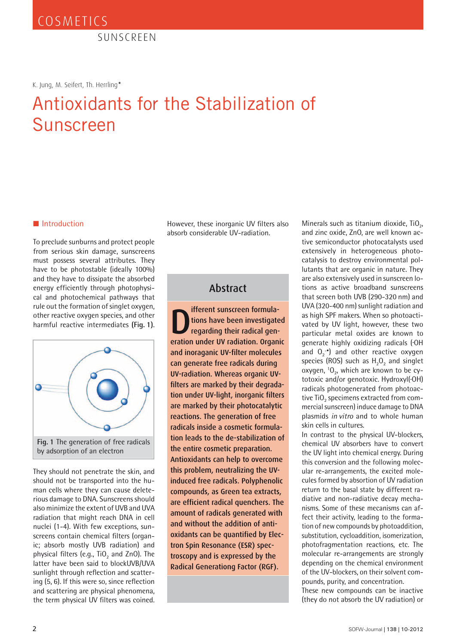SUNSCREEN

K. Jung, M. Seifert, Th. Herrling*\**

# Antioxidants for the Stabilization of Sunscreen

#### ■ Introduction

To preclude sunburns and protect people from serious skin damage, sunscreens must possess several attributes. They have to be photostable (ideally 100%) and they have to dissipate the absorbed energy efficiently through photophysical and photochemical pathways that rule out the formation of singlet oxygen, other reactive oxygen species, and other harmful reactive intermediates **(Fig. 1)**.



They should not penetrate the skin, and should not be transported into the human cells where they can cause deleterious damage to DNA. Sunscreens should also minimize the extent of UVB and UVA radiation that might reach DNA in cell nuclei (1-4). With few exceptions, sunscreens contain chemical filters (organic; absorb mostly UVB radiation) and physical filters (e.g., TiO<sub>2</sub> and ZnO). The latter have been said to blockUVB/UVA sunlight through reflection and scattering (5, 6). If this were so, since reflection and scattering are physical phenomena, the term physical UV filters was coined.

However, these inorganic UV filters also absorb considerable UV-radiation.

### Abstract

**Deration School School** tions have been investigated<br>regarding their radical generation under UV radiation. Organic ifferent sunscreen formulations have been investigated regarding their radical genand inoraganic UV-filter molecules can generate free radicals during UV-radiation. Whereas organic UVfilters are marked by their degradation under UV-light, inorganic filters are marked by their photocatalytic reactions. The generation of free radicals inside a cosmetic formulation leads to the de-stabilization of the entire cosmetic preparation. Antioxidants can help to overcome this problem, neutralizing the UVinduced free radicals. Polyphenolic compounds, as Green tea extracts, are efficient radical quenchers. The amount of radicals generated with and without the addition of antioxidants can be quantified by Electron Spin Resonance (ESR) spectroscopy and is expressed by the Radical Generationg Factor (RGF).

Minerals such as titanium dioxide,  $TiO<sub>2</sub>$ , and zinc oxide, ZnO, are well known active semiconductor photocatalysts used extensively in heterogeneous photocatalysis to destroy environmental pollutants that are organic in nature. They are also extensively used in sunscreen lotions as active broadband sunscreens that screen both UVB (290-320 nm) and UVA (320-400 nm) sunlight radiation and as high SPF makers. When so photoactivated by UV light, however, these two particular metal oxides are known to generate highly oxidizing radicals (•OH and  $O_2$ <sup>-•</sup>) and other reactive oxygen species (ROS) such as  $H<sub>2</sub>O<sub>2</sub>$  and singlet oxygen,  ${}^{1}O_{21}$  which are known to be cytotoxic and/or genotoxic. Hydroxyl(•OH) radicals photogenerated from photoactive TiO<sub>2</sub> specimens extracted from commercial sunscreen) induce damage to DNA plasmids *in vitro* and to whole human skin cells in cultures.

In contrast to the physical UV-blockers, chemical UV absorbers have to convert the UV light into chemical energy. During this conversion and the following molecular re-arrangements, the excited molecules formed by absortion of UV radiation return to the basal state by different radiative and non-radiative decay mechanisms. Some of these mecanisms can affect their activity, leading to the formation of new compounds by photoaddition, substitution, cycloaddition, isomerization, photofragmentation reactions, etc. The molecular re-arrangements are strongly depending on the chemical environment of the UV-blockers, on their solvent compounds, purity, and concentration.

These new compounds can be inactive (they do not absorb the UV radiation) or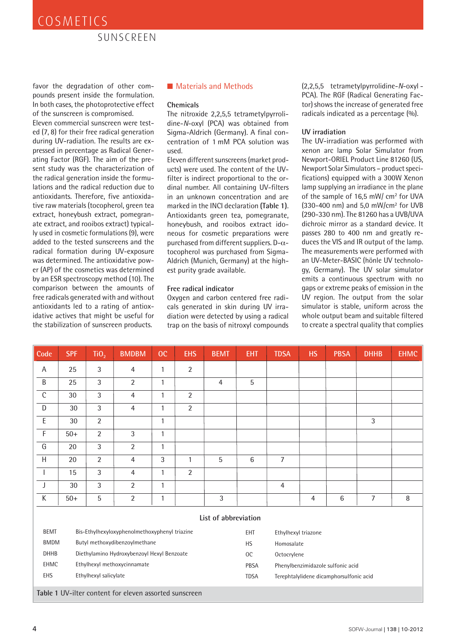### SUNSCREEN

favor the degradation of other compounds present inside the formulation. In both cases, the photoprotective effect of the sunscreen is compromised.

Eleven commercial sunscreen were tested (7, 8) for their free radical generation during UV-radiation. The results are expressed in percentage as Radical Generating Factor (RGF). The aim of the present study was the characterization of the radical generation inside the formulations and the radical reduction due to antioxidants. Therefore, five antioxidative raw materials (tocopherol, green tea extract, honeybush extract, pomegranate extract, and rooibos extract) typically used in cosmetic formulations (9), were added to the tested sunscreens and the radical formation during UV-exposure was determined. The antioxidative power (AP) of the cosmetics was determined by an ESR spectroscopy method (10). The comparison between the amounts of free radicals generated with and without antioxidants led to a rating of antioxidative actives that might be useful for the stabilization of sunscreen products.

#### ■ Materials and Methods

#### **Chemicals**

The nitroxide 2,2,5,5 tetrametylpyrrolidine-*N*-oxyl (PCA) was obtained from Sigma-Aldrich (Germany). A final concentration of 1 mM PCA solution was used.

Eleven different sunscreens (market products) were used. The content of the UVfilter is indirect proportional to the ordinal number. All containing UV-filters in an unknown concentration and are marked in the INCI declaration **(Table 1)**. Antioxidants green tea, pomegranate, honeybush, and rooibos extract idoneous for cosmetic preparations were purchased from different suppliers. D- $\alpha$ tocopherol was purchased from Sigma-Aldrich (Munich, Germany) at the highest purity grade available.

#### **Free radical indicator**

Oxygen and carbon centered free radicals generated in skin during UV irradiation were detected by using a radical trap on the basis of nitroxyl compounds (2,2,5,5 tetrametylpyrrolidine-*N*-oxyl - PCA). The RGF (Radical Generating Factor) shows the increase of generated free radicals indicated as a percentage (%).

#### **UV irradiation**

The UV-irradiation was performed with xenon arc lamp Solar Simulator from Newport-ORIEL Product Line 81260 (US, Newport Solar Simulators – product specifications) equipped with a 300W Xenon lamp supplying an irradiance in the plane of the sample of 16,5 mW/ cm2 for UVA (330-400 nm) and 5,0 mW/cm2 for UVB (290-330 nm). The 81260 has a UVB/UVA dichroic mirror as a standard device. It passes 280 to 400 nm and greatly reduces the VIS and IR output of the lamp. The measurements were performed with an UV-Meter-BASIC (hönle UV technology, Germany). The UV solar simulator emits a continuous spectrum with no gaps or extreme peaks of emission in the UV region. The output from the solar simulator is stable, uniform across the whole output beam and suitable filtered to create a spectral quality that complies

| Code                                                   | <b>SPF</b>                                 | TiO <sub>2</sub>                              | <b>BMDBM</b>   | oc           | <b>EHS</b>     | <b>BEMT</b>    | <b>EHT</b>  | <b>TDSA</b>                             | <b>HS</b>      | <b>PBSA</b> | <b>DHHB</b> | <b>EHMC</b> |
|--------------------------------------------------------|--------------------------------------------|-----------------------------------------------|----------------|--------------|----------------|----------------|-------------|-----------------------------------------|----------------|-------------|-------------|-------------|
| A                                                      | 25                                         | 3                                             | $\overline{4}$ | $\mathbf{1}$ | 2              |                |             |                                         |                |             |             |             |
| B                                                      | 25                                         | $\mathfrak{Z}$                                | $\overline{2}$ | $\mathbf{1}$ |                | $\overline{4}$ | 5           |                                         |                |             |             |             |
| $\mathsf{C}$                                           | 30                                         | $\mathfrak{Z}$                                | $\overline{4}$ | $\mathbf{1}$ | $\overline{2}$ |                |             |                                         |                |             |             |             |
| D                                                      | 30                                         | 3                                             | $\overline{4}$ | $\mathbf{1}$ | 2              |                |             |                                         |                |             |             |             |
| $\mathsf E$                                            | 30                                         | $\overline{2}$                                |                | $\mathbf{1}$ |                |                |             |                                         |                |             | 3           |             |
| $\mathsf F$                                            | $50+$                                      | $\overline{2}$                                | 3              | $\mathbf{1}$ |                |                |             |                                         |                |             |             |             |
| G                                                      | 20                                         | 3                                             | $\overline{2}$ | $\mathbf{1}$ |                |                |             |                                         |                |             |             |             |
| $\boldsymbol{\mathsf{H}}$                              | 20                                         | $\overline{2}$                                | $\overline{4}$ | 3            | $\mathbf{1}$   | 5              | $\,6\,$     | $\overline{7}$                          |                |             |             |             |
|                                                        | 15                                         | $\mathfrak{Z}$                                | $\overline{4}$ | $\mathbf{1}$ | $\overline{2}$ |                |             |                                         |                |             |             |             |
| J                                                      | 30                                         | 3                                             | $\overline{2}$ | $\mathbf{1}$ |                |                |             | $\overline{4}$                          |                |             |             |             |
| К                                                      | $50+$                                      | 5                                             | $\overline{2}$ | $\mathbf{1}$ |                | 3              |             |                                         | $\overline{4}$ | 6           | 7           | $\, 8$      |
| List of abbreviation                                   |                                            |                                               |                |              |                |                |             |                                         |                |             |             |             |
| <b>BEMT</b>                                            |                                            | Bis-Ethylhexyloxyphenolmethoxyphenyl triazine |                |              |                |                |             | Ethylhexyl triazone                     |                |             |             |             |
| <b>BMDM</b>                                            | Butyl methoxydibenzoylmethane              |                                               |                |              |                |                | <b>HS</b>   | Homosalate                              |                |             |             |             |
| <b>DHHB</b>                                            | Diethylamino Hydroxybenzoyl Hexyl Benzoate |                                               |                |              |                |                | OC          | Octocrylene                             |                |             |             |             |
| <b>EHMC</b>                                            |                                            | Ethylhexyl methoxycinnamate                   |                |              |                |                |             | Phenylbenzimidazole sulfonic acid       |                |             |             |             |
| EHS                                                    | Ethylhexyl salicylate                      |                                               |                |              |                |                | <b>TDSA</b> | Terephtalylidene dicamphorsulfonic acid |                |             |             |             |
| Table 1 UV-ilter content for eleven assorted sunscreen |                                            |                                               |                |              |                |                |             |                                         |                |             |             |             |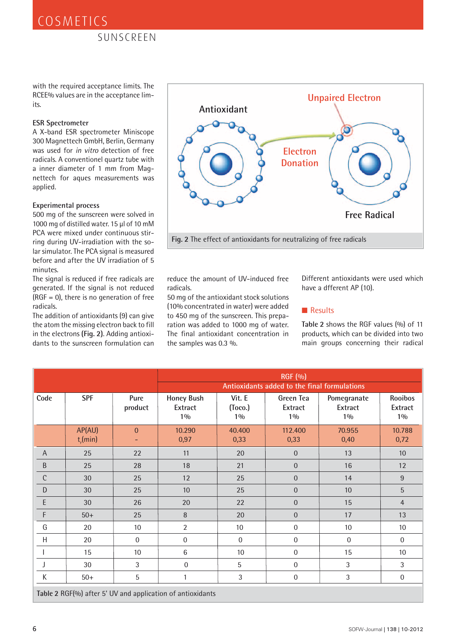with the required acceptance limits. The RCEE% values are in the acceptance limits.

#### **ESR Spectrometer**

A X-band ESR spectrometer Miniscope 300 Magnettech GmbH, Berlin, Germany was used for *in vitro* detection of free radicals. A conventionel quartz tube with a inner diameter of 1 mm from Magnettech for aques measurements was applied.

#### **Experimental process**

500 mg of the sunscreen were solved in 1000 mg of distilled water. 15 µl of 10 mM PCA were mixed under continuous stirring during UV-irradiation with the solar simulator. The PCA signal is measured before and after the UV irradiation of 5 minutes.

The signal is reduced if free radicals are generated. If the signal is not reduced  $(RGF = 0)$ , there is no generation of free radicals.

The addition of antioxidants (9) can give the atom the missing electron back to fill in the electrons **(Fig. 2)**. Adding antioxidants to the sunscreen formulation can



reduce the amount of UV-induced free radicals.

50 mg of the antioxidant stock solutions (10% concentrated in water) were added to 450 mg of the sunscreen. This preparation was added to 1000 mg of water. The final antioxidant concentration in the samples was 0.3 %.

Different antioxidants were used which have a dfferent AP (10).

#### ■ Results

**Table 2** shows the RGF values (%) of 11 products, which can be divided into two main groups concerning their radical

|                                                            |                        |                 | <b>RGF</b> (%)<br>Antioxidants added to the final formulations |                            |                               |                                 |                             |  |  |  |  |
|------------------------------------------------------------|------------------------|-----------------|----------------------------------------------------------------|----------------------------|-------------------------------|---------------------------------|-----------------------------|--|--|--|--|
| Code                                                       | <b>SPF</b>             | Pure<br>product | <b>Honey Bush</b><br>Extract<br>$1\%$                          | Vit. E<br>(Toco.)<br>$1\%$ | Green Tea<br>Extract<br>$1\%$ | Pomegranate<br>Extract<br>$1\%$ | Rooibos<br>Extract<br>$1\%$ |  |  |  |  |
|                                                            | AP(AU)<br>$t_{r}(min)$ | $\mathbf{0}$    | 10.290<br>0,97                                                 | 40.400<br>0,33             | 112.400<br>0,33               | 70.955<br>0,40                  | 10.788<br>0,72              |  |  |  |  |
| $\mathsf{A}$                                               | 25                     | 22              | 11                                                             | 20                         | $\overline{0}$                | 13                              | 10                          |  |  |  |  |
| $\sf B$                                                    | 25                     | 28              | 18                                                             | 21                         | $\boldsymbol{0}$              | 16                              | 12                          |  |  |  |  |
| $\mathsf C$                                                | 30                     | 25              | 12                                                             | 25                         | $\boldsymbol{0}$              | 14                              | $\boldsymbol{9}$            |  |  |  |  |
| $\mathsf{D}%$                                              | 30                     | 25              | 10                                                             | 25                         | $\boldsymbol{0}$              | 10                              | $\sqrt{5}$                  |  |  |  |  |
| $\mathsf E$                                                | 30                     | 26              | 20                                                             | 22                         | $\boldsymbol{0}$              | 15                              | $\overline{4}$              |  |  |  |  |
| $\mathsf F$                                                | $50+$                  | 25              | 8                                                              | 20                         | $\boldsymbol{0}$              | 17                              | 13                          |  |  |  |  |
| G                                                          | 20                     | 10              | $\overline{2}$                                                 | 10                         | $\boldsymbol{0}$              | 10                              | 10                          |  |  |  |  |
| H                                                          | 20                     | $\mathbf{0}$    | $\mathbf 0$                                                    | $\mathbf{0}$               | $\mathbf 0$                   | $\mathbf 0$                     | $\mathbf 0$                 |  |  |  |  |
|                                                            | 15                     | 10              | $6\,$                                                          | 10                         | $\boldsymbol{0}$              | 15                              | 10                          |  |  |  |  |
|                                                            | 30                     | 3               | $\mathbf 0$                                                    | 5                          | $\boldsymbol{0}$              | 3                               | $\mathfrak{Z}$              |  |  |  |  |
| К                                                          | $50+$                  | 5               | 1                                                              | $\mathfrak{Z}$             | $\boldsymbol{0}$              | 3                               | $\boldsymbol{0}$            |  |  |  |  |
| Table 2 RGF(%) after 5' UV and application of antioxidants |                        |                 |                                                                |                            |                               |                                 |                             |  |  |  |  |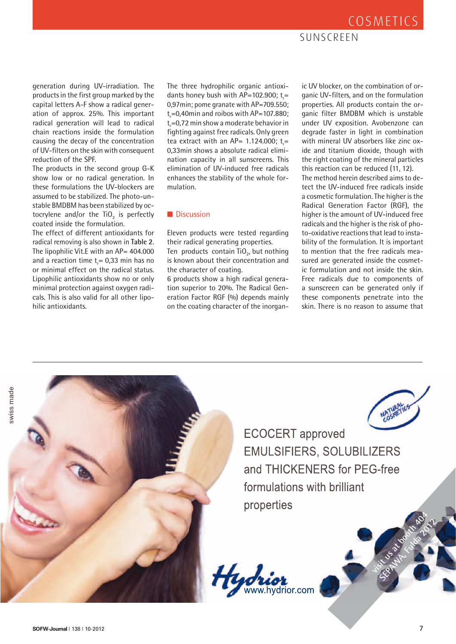### SUNSCREEN

generation during UV-irradiation. The products in the first group marked by the capital letters A-F show a radical generation of approx. 25%. This important radical generation will lead to radical chain reactions inside the formulation causing the decay of the concentration of UV-filters on the skin with consequent reduction of the SPF.

The products in the second group G-K show low or no radical generation. In these formulations the UV-blockers are assumed to be stabilized. The photo-unstable BMDBM has been stabilized by octocrylene and/or the  $TiO<sub>2</sub>$  is perfectly coated inside the formulation.

The effect of different antioxidants for radical removing is also shown in **Table 2**. The lipophilic Vit.E with an AP= 404.000 and a reaction time  $t_{\sf r}$ = 0,33 min has no or minimal effect on the radical status. Lipophilic antioxidants show no or only minimal protection against oxygen radicals. This is also valid for all other lipohilic antioxidants.

The three hydrophilic organic antioxidants honey bush with  $AP = 102.900$ ; t<sub>r</sub>= 0,97min; pome granate with AP=709.550;  $t_r = 0,40$ min and roibos with AP=107.880;  $t_r$ =0,72 min show a moderate behavior in fighting against free radicals. Only green tea extract with an AP= 1.124.000;  $t_r =$ 0,33min shows a absolute radical elimination capacity in all sunscreens. This elimination of UV-induced free radicals enhances the stability of the whole formulation.

#### ■ Discussion

Eleven products were tested regarding their radical generating properties. Ten products contain  $TiO<sub>2</sub>$ , but nothing is known about their concentration and the character of coating.

6 products show a high radical generation superior to 20%. The Radical Generation Factor RGF (%) depends mainly on the coating character of the inorgan-

ic UV blocker, on the combination of organic UV-filters, and on the formulation properties. All products contain the organic filter BMDBM which is unstable under UV exposition. Avobenzone can degrade faster in light in combination with mineral UV absorbers like zinc oxide and titanium dioxide, though with the right coating of the mineral particles this reaction can be reduced (11, 12). The method herein described aims to detect the UV-induced free radicals inside a cosmetic formulation. The higher is the Radical Generation Factor (RGF), the higher is the amount of UV-induced free radicals and the higher is the risk of photo-oxidative reactions that lead to instability of the formulation. It is important to mention that the free radicals measured are generated inside the cosmetic formulation and not inside the skin. Free radicals due to components of a sunscreen can be generated only if these components penetrate into the skin. There is no reason to assume that

swiss made



**ECOCERT** approved EMULSIFIERS, SOLUBILIZERS and THICKENERS for PEG-free formulations with brilliant properties **visit us at booth 404** 



SEPAWA 2012 REPAIR